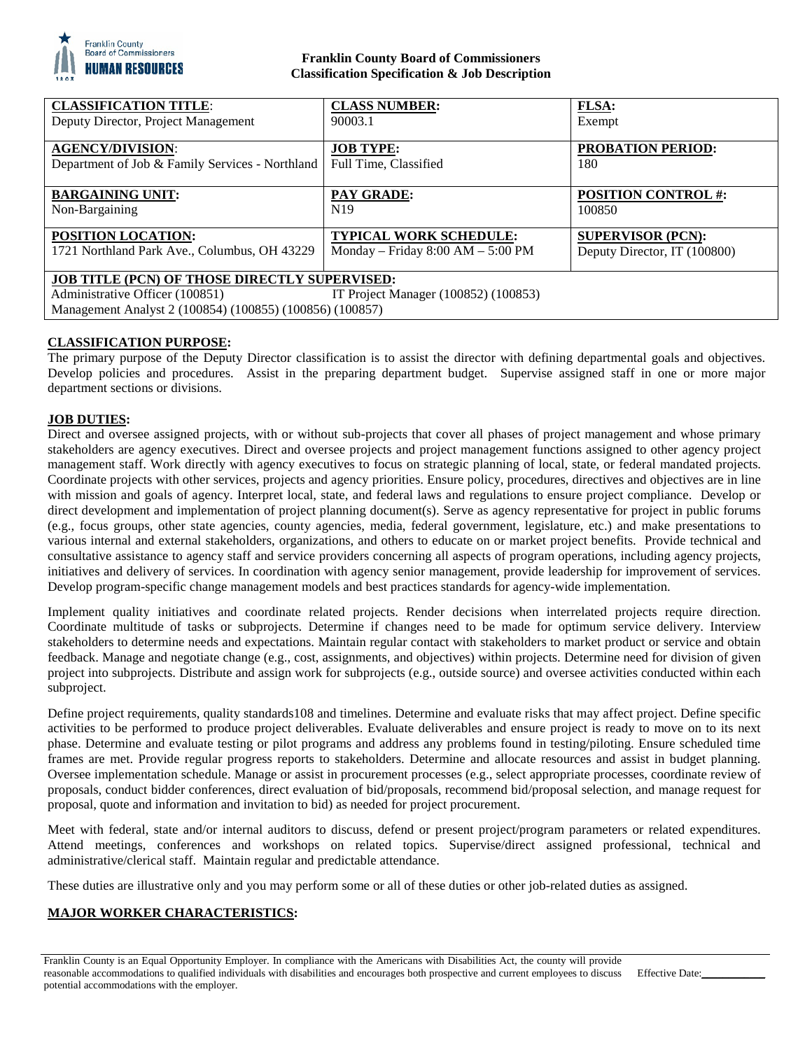

### **Franklin County Board of Commissioners Classification Specification & Job Description**

| <b>CLASSIFICATION TITLE:</b>                                                                                                                                                                | <b>CLASS NUMBER:</b>                  | <b>FLSA:</b>                 |
|---------------------------------------------------------------------------------------------------------------------------------------------------------------------------------------------|---------------------------------------|------------------------------|
| Deputy Director, Project Management                                                                                                                                                         | 90003.1                               | Exempt                       |
| <b>AGENCY/DIVISION:</b>                                                                                                                                                                     | <b>JOB TYPE:</b>                      | <b>PROBATION PERIOD:</b>     |
| Department of Job & Family Services - Northland                                                                                                                                             | Full Time, Classified                 | 180                          |
| <b>BARGAINING UNIT:</b>                                                                                                                                                                     | <b>PAY GRADE:</b>                     | <b>POSITION CONTROL #:</b>   |
| Non-Bargaining                                                                                                                                                                              | N <sub>19</sub>                       | 100850                       |
| <b>POSITION LOCATION:</b>                                                                                                                                                                   | <b>TYPICAL WORK SCHEDULE:</b>         | <b>SUPERVISOR (PCN):</b>     |
| 1721 Northland Park Ave., Columbus, OH 43229                                                                                                                                                | Monday – Friday $8:00$ AM – $5:00$ PM | Deputy Director, IT (100800) |
| <b>JOB TITLE (PCN) OF THOSE DIRECTLY SUPERVISED:</b><br>Administrative Officer (100851)<br>IT Project Manager (100852) (100853)<br>Management Analyst 2 (100854) (100855) (100856) (100857) |                                       |                              |

# **CLASSIFICATION PURPOSE:**

The primary purpose of the Deputy Director classification is to assist the director with defining departmental goals and objectives. Develop policies and procedures. Assist in the preparing department budget. Supervise assigned staff in one or more major department sections or divisions.

# **JOB DUTIES:**

Direct and oversee assigned projects, with or without sub-projects that cover all phases of project management and whose primary stakeholders are agency executives. Direct and oversee projects and project management functions assigned to other agency project management staff. Work directly with agency executives to focus on strategic planning of local, state, or federal mandated projects. Coordinate projects with other services, projects and agency priorities. Ensure policy, procedures, directives and objectives are in line with mission and goals of agency. Interpret local, state, and federal laws and regulations to ensure project compliance. Develop or direct development and implementation of project planning document(s). Serve as agency representative for project in public forums (e.g., focus groups, other state agencies, county agencies, media, federal government, legislature, etc.) and make presentations to various internal and external stakeholders, organizations, and others to educate on or market project benefits. Provide technical and consultative assistance to agency staff and service providers concerning all aspects of program operations, including agency projects, initiatives and delivery of services. In coordination with agency senior management, provide leadership for improvement of services. Develop program-specific change management models and best practices standards for agency-wide implementation.

Implement quality initiatives and coordinate related projects. Render decisions when interrelated projects require direction. Coordinate multitude of tasks or subprojects. Determine if changes need to be made for optimum service delivery. Interview stakeholders to determine needs and expectations. Maintain regular contact with stakeholders to market product or service and obtain feedback. Manage and negotiate change (e.g., cost, assignments, and objectives) within projects. Determine need for division of given project into subprojects. Distribute and assign work for subprojects (e.g., outside source) and oversee activities conducted within each subproject.

Define project requirements, quality standards108 and timelines. Determine and evaluate risks that may affect project. Define specific activities to be performed to produce project deliverables. Evaluate deliverables and ensure project is ready to move on to its next phase. Determine and evaluate testing or pilot programs and address any problems found in testing/piloting. Ensure scheduled time frames are met. Provide regular progress reports to stakeholders. Determine and allocate resources and assist in budget planning. Oversee implementation schedule. Manage or assist in procurement processes (e.g., select appropriate processes, coordinate review of proposals, conduct bidder conferences, direct evaluation of bid/proposals, recommend bid/proposal selection, and manage request for proposal, quote and information and invitation to bid) as needed for project procurement.

Meet with federal, state and/or internal auditors to discuss, defend or present project/program parameters or related expenditures. Attend meetings, conferences and workshops on related topics. Supervise/direct assigned professional, technical and administrative/clerical staff. Maintain regular and predictable attendance.

These duties are illustrative only and you may perform some or all of these duties or other job-related duties as assigned.

# **MAJOR WORKER CHARACTERISTICS:**

Franklin County is an Equal Opportunity Employer. In compliance with the Americans with Disabilities Act, the county will provide reasonable accommodations to qualified individuals with disabilities and encourages both prospective and current employees to discuss potential accommodations with the employer. Effective Date: